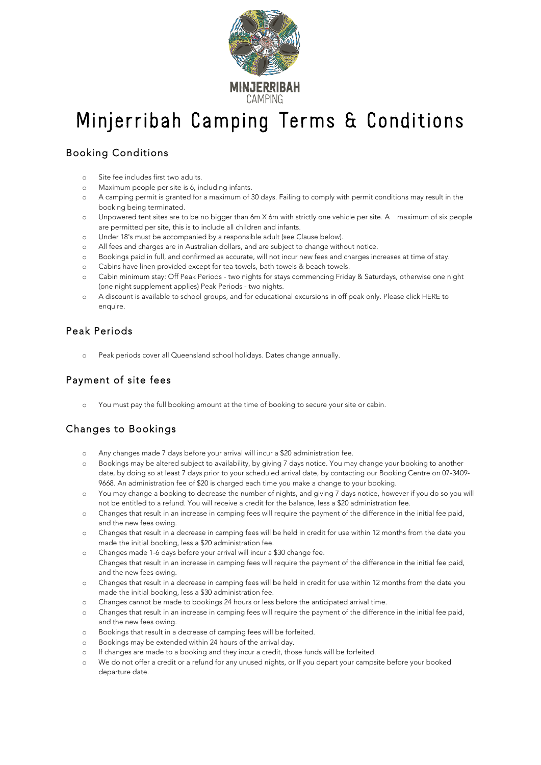

# Minjerribah Camping Terms & Conditions

## Booking Conditions

- o Site fee includes first two adults.
- o Maximum people per site is 6, including infants.
- o A camping permit is granted for a maximum of 30 days. Failing to comply with permit conditions may result in the booking being terminated.
- o Unpowered tent sites are to be no bigger than 6m X 6m with strictly one vehicle per site. A maximum of six people are permitted per site, this is to include all children and infants.
- o Under 18's must be accompanied by a responsible adult (see Clause below).
- o All fees and charges are in Australian dollars, and are subject to change without notice.
- o Bookings paid in full, and confirmed as accurate, will not incur new fees and charges increases at time of stay.
- o Cabins have linen provided except for tea towels, bath towels & beach towels.
- o Cabin minimum stay: Off Peak Periods two nights for stays commencing Friday & Saturdays, otherwise one night (one night supplement applies) Peak Periods - two nights.
- o A discount is available to school groups, and for educational excursions in off peak only. Please click HERE to enquire.

#### Peak Periods

o Peak periods cover all Queensland school holidays. Dates change annually.

#### Payment of site fees

You must pay the full booking amount at the time of booking to secure your site or cabin.

#### Changes to Bookings

- o Any changes made 7 days before your arrival will incur a \$20 administration fee.
- o Bookings may be altered subject to availability, by giving 7 days notice. You may change your booking to another date, by doing so at least 7 days prior to your scheduled arrival date, by contacting our Booking Centre on 07-3409- 9668. An administration fee of \$20 is charged each time you make a change to your booking.
- o You may change a booking to decrease the number of nights, and giving 7 days notice, however if you do so you will not be entitled to a refund. You will receive a credit for the balance, less a \$20 administration fee.
- o Changes that result in an increase in camping fees will require the payment of the difference in the initial fee paid, and the new fees owing.
- o Changes that result in a decrease in camping fees will be held in credit for use within 12 months from the date you made the initial booking, less a \$20 administration fee.
- o Changes made 1-6 days before your arrival will incur a \$30 change fee. Changes that result in an increase in camping fees will require the payment of the difference in the initial fee paid, and the new fees owing.
- o Changes that result in a decrease in camping fees will be held in credit for use within 12 months from the date you made the initial booking, less a \$30 administration fee.
- o Changes cannot be made to bookings 24 hours or less before the anticipated arrival time.
- o Changes that result in an increase in camping fees will require the payment of the difference in the initial fee paid, and the new fees owing.
- o Bookings that result in a decrease of camping fees will be forfeited.
- Bookings may be extended within 24 hours of the arrival day.
- o If changes are made to a booking and they incur a credit, those funds will be forfeited.
- o We do not offer a credit or a refund for any unused nights, or If you depart your campsite before your booked departure date.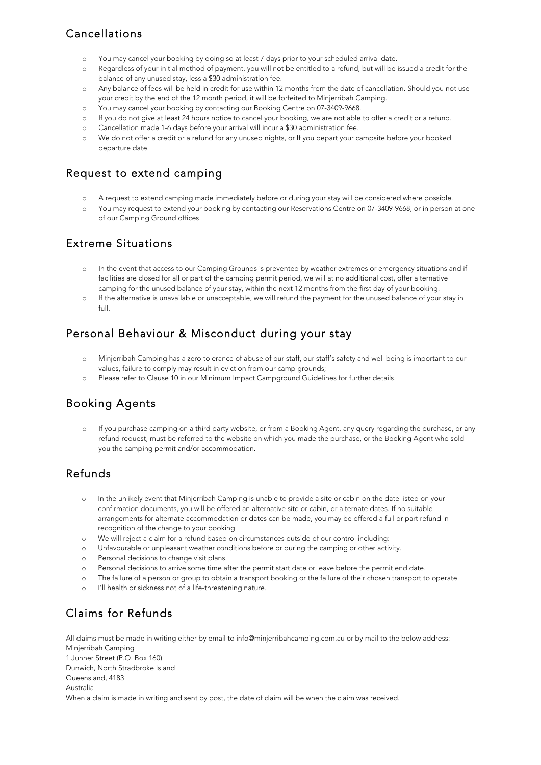# Cancellations

- o You may cancel your booking by doing so at least 7 days prior to your scheduled arrival date.
- o Regardless of your initial method of payment, you will not be entitled to a refund, but will be issued a credit for the balance of any unused stay, less a \$30 administration fee.
- o Any balance of fees will be held in credit for use within 12 months from the date of cancellation. Should you not use your credit by the end of the 12 month period, it will be forfeited to Minjerribah Camping.
- o You may cancel your booking by contacting our Booking Centre on 07-3409-9668.
- o If you do not give at least 24 hours notice to cancel your booking, we are not able to offer a credit or a refund.
- o Cancellation made 1-6 days before your arrival will incur a \$30 administration fee.
- o We do not offer a credit or a refund for any unused nights, or If you depart your campsite before your booked departure date.

### Request to extend camping

- o A request to extend camping made immediately before or during your stay will be considered where possible.
- o You may request to extend your booking by contacting our Reservations Centre on 07-3409-9668, or in person at one of our Camping Ground offices.

#### Extreme Situations

- o In the event that access to our Camping Grounds is prevented by weather extremes or emergency situations and if facilities are closed for all or part of the camping permit period, we will at no additional cost, offer alternative camping for the unused balance of your stay, within the next 12 months from the first day of your booking.
- o If the alternative is unavailable or unacceptable, we will refund the payment for the unused balance of your stay in full.

# Personal Behaviour & Misconduct during your stay

- o Minjerribah Camping has a zero tolerance of abuse of our staff, our staff's safety and well being is important to our values, failure to comply may result in eviction from our camp grounds;
- o Please refer to Clause 10 in our Minimum Impact Campground Guidelines for further details.

## Booking Agents

o If you purchase camping on a third party website, or from a Booking Agent, any query regarding the purchase, or any refund request, must be referred to the website on which you made the purchase, or the Booking Agent who sold you the camping permit and/or accommodation.

# Refunds

- o In the unlikely event that Minjerribah Camping is unable to provide a site or cabin on the date listed on your confirmation documents, you will be offered an alternative site or cabin, or alternate dates. If no suitable arrangements for alternate accommodation or dates can be made, you may be offered a full or part refund in recognition of the change to your booking.
- o We will reject a claim for a refund based on circumstances outside of our control including:
- o Unfavourable or unpleasant weather conditions before or during the camping or other activity.
- o Personal decisions to change visit plans.
- o Personal decisions to arrive some time after the permit start date or leave before the permit end date.
- o The failure of a person or group to obtain a transport booking or the failure of their chosen transport to operate.
- I'll health or sickness not of a life-threatening nature.

# Claims for Refunds

All claims must be made in writing either by email to info@minjerribahcamping.com.au or by mail to the below address: Minjerribah Camping 1 Junner Street (P.O. Box 160) Dunwich, North Stradbroke Island Queensland, 4183 Australia When a claim is made in writing and sent by post, the date of claim will be when the claim was received.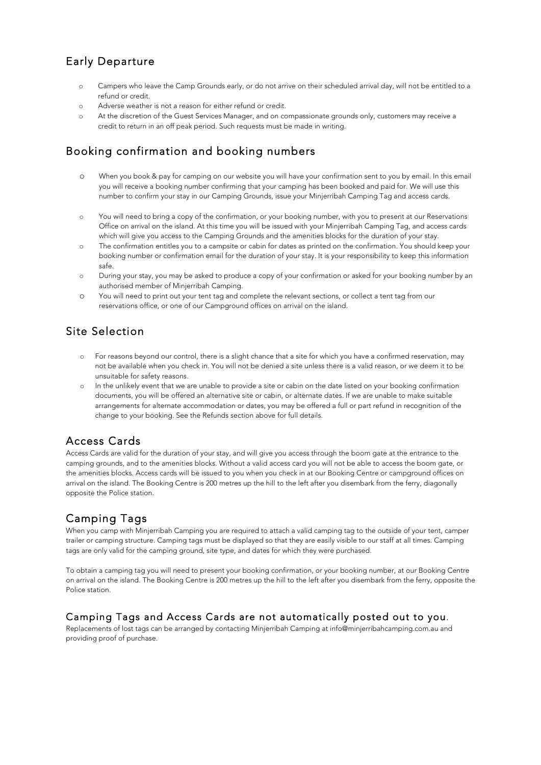## Early Departure

- o Campers who leave the Camp Grounds early, or do not arrive on their scheduled arrival day, will not be entitled to a refund or credit.
- o Adverse weather is not a reason for either refund or credit.
- o At the discretion of the Guest Services Manager, and on compassionate grounds only, customers may receive a credit to return in an off peak period. Such requests must be made in writing.

# Booking confirmation and booking numbers

- o When you book & pay for camping on our website you will have your confirmation sent to you by email. In this email you will receive a booking number confirming that your camping has been booked and paid for. We will use this number to confirm your stay in our Camping Grounds, issue your Minjerribah Camping Tag and access cards.
- o You will need to bring a copy of the confirmation, or your booking number, with you to present at our Reservations Office on arrival on the island. At this time you will be issued with your Minjerribah Camping Tag, and access cards which will give you access to the Camping Grounds and the amenities blocks for the duration of your stay.
- o The confirmation entitles you to a campsite or cabin for dates as printed on the confirmation. You should keep your booking number or confirmation email for the duration of your stay. It is your responsibility to keep this information safe.
- o During your stay, you may be asked to produce a copy of your confirmation or asked for your booking number by an authorised member of Minjerribah Camping.
- o You will need to print out your tent tag and complete the relevant sections, or collect a tent tag from our reservations office, or one of our Campground offices on arrival on the island.

## Site Selection

- o For reasons beyond our control, there is a slight chance that a site for which you have a confirmed reservation, may not be available when you check in. You will not be denied a site unless there is a valid reason, or we deem it to be unsuitable for safety reasons.
- o In the unlikely event that we are unable to provide a site or cabin on the date listed on your booking confirmation documents, you will be offered an alternative site or cabin, or alternate dates. If we are unable to make suitable arrangements for alternate accommodation or dates, you may be offered a full or part refund in recognition of the change to your booking. See the Refunds section above for full details.

## Access Cards

Access Cards are valid for the duration of your stay, and will give you access through the boom gate at the entrance to the camping grounds, and to the amenities blocks. Without a valid access card you will not be able to access the boom gate, or the amenities blocks. Access cards will be issued to you when you check in at our Booking Centre or campground offices on arrival on the island. The Booking Centre is 200 metres up the hill to the left after you disembark from the ferry, diagonally opposite the Police station.

# Camping Tags

When you camp with Minjerribah Camping you are required to attach a valid camping tag to the outside of your tent, camper trailer or camping structure. Camping tags must be displayed so that they are easily visible to our staff at all times. Camping tags are only valid for the camping ground, site type, and dates for which they were purchased.

To obtain a camping tag you will need to present your booking confirmation, or your booking number, at our Booking Centre on arrival on the island. The Booking Centre is 200 metres up the hill to the left after you disembark from the ferry, opposite the Police station.

#### Camping Tags and Access Cards are not automatically posted out to you.

Replacements of lost tags can be arranged by contacting Minjerribah Camping at info@minjerribahcamping.com.au and providing proof of purchase.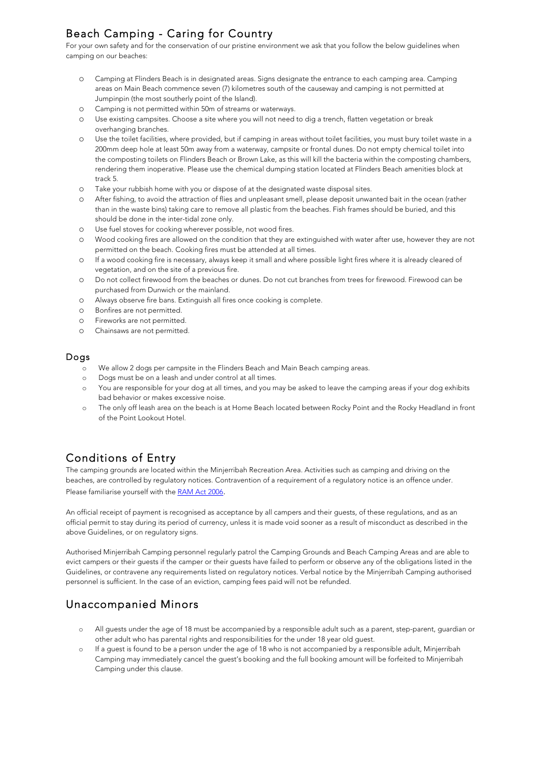# Beach Camping - Caring for Country

For your own safety and for the conservation of our pristine environment we ask that you follow the below guidelines when camping on our beaches:

- o Camping at Flinders Beach is in designated areas. Signs designate the entrance to each camping area. Camping areas on Main Beach commence seven (7) kilometres south of the causeway and camping is not permitted at Jumpinpin (the most southerly point of the Island).
- o Camping is not permitted within 50m of streams or waterways.
- o Use existing campsites. Choose a site where you will not need to dig a trench, flatten vegetation or break overhanging branches.
- o Use the toilet facilities, where provided, but if camping in areas without toilet facilities, you must bury toilet waste in a 200mm deep hole at least 50m away from a waterway, campsite or frontal dunes. Do not empty chemical toilet into the composting toilets on Flinders Beach or Brown Lake, as this will kill the bacteria within the composting chambers, rendering them inoperative. Please use the chemical dumping station located at Flinders Beach amenities block at track 5.
- o Take your rubbish home with you or dispose of at the designated waste disposal sites.
- o After fishing, to avoid the attraction of flies and unpleasant smell, please deposit unwanted bait in the ocean (rather than in the waste bins) taking care to remove all plastic from the beaches. Fish frames should be buried, and this should be done in the inter-tidal zone only.
- o Use fuel stoves for cooking wherever possible, not wood fires.
- o Wood cooking fires are allowed on the condition that they are extinguished with water after use, however they are not permitted on the beach. Cooking fires must be attended at all times.
- o If a wood cooking fire is necessary, always keep it small and where possible light fires where it is already cleared of vegetation, and on the site of a previous fire.
- o Do not collect firewood from the beaches or dunes. Do not cut branches from trees for firewood. Firewood can be purchased from Dunwich or the mainland.
- o Always observe fire bans. Extinguish all fires once cooking is complete.
- o Bonfires are not permitted.
- o Fireworks are not permitted.
- o Chainsaws are not permitted.

#### Dogs

- o We allow 2 dogs per campsite in the Flinders Beach and Main Beach camping areas.
- o Dogs must be on a leash and under control at all times.
- o You are responsible for your dog at all times, and you may be asked to leave the camping areas if your dog exhibits bad behavior or makes excessive noise.
- o The only off leash area on the beach is at Home Beach located between Rocky Point and the Rocky Headland in front of the Point Lookout Hotel.

# Conditions of Entry

The camping grounds are located within the Minjerribah Recreation Area. Activities such as camping and driving on the beaches, are controlled by regulatory notices. Contravention of a requirement of a regulatory notice is an offence under. Please familiarise yourself with the RAM Act 2006.

An official receipt of payment is recognised as acceptance by all campers and their guests, of these regulations, and as an official permit to stay during its period of currency, unless it is made void sooner as a result of misconduct as described in the above Guidelines, or on regulatory signs.

Authorised Minjerribah Camping personnel regularly patrol the Camping Grounds and Beach Camping Areas and are able to evict campers or their guests if the camper or their guests have failed to perform or observe any of the obligations listed in the Guidelines, or contravene any requirements listed on regulatory notices. Verbal notice by the Minjerribah Camping authorised personnel is sufficient. In the case of an eviction, camping fees paid will not be refunded.

## Unaccompanied Minors

- All guests under the age of 18 must be accompanied by a responsible adult such as a parent, step-parent, guardian or other adult who has parental rights and responsibilities for the under 18 year old guest.
- o If a guest is found to be a person under the age of 18 who is not accompanied by a responsible adult, Minjerribah Camping may immediately cancel the guest's booking and the full booking amount will be forfeited to Minjerribah Camping under this clause.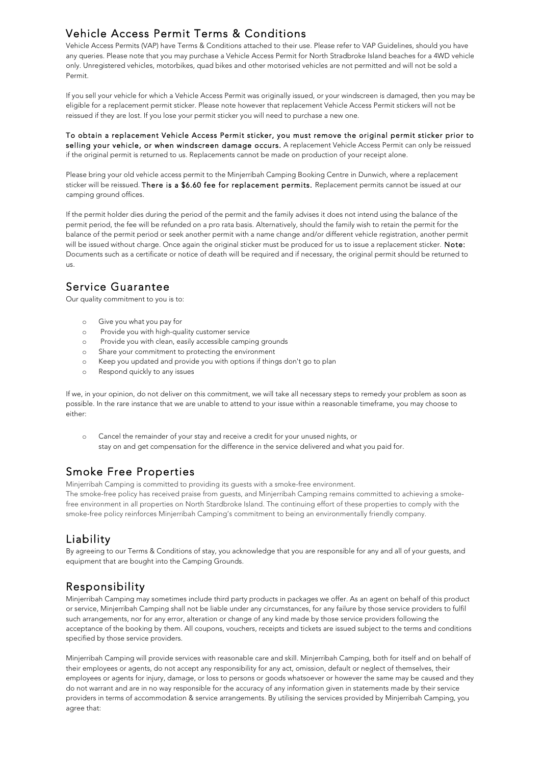## Vehicle Access Permit Terms & Conditions

Vehicle Access Permits (VAP) have Terms & Conditions attached to their use. Please refer to VAP Guidelines, should you have any queries. Please note that you may purchase a Vehicle Access Permit for North Stradbroke Island beaches for a 4WD vehicle only. Unregistered vehicles, motorbikes, quad bikes and other motorised vehicles are not permitted and will not be sold a Permit.

If you sell your vehicle for which a Vehicle Access Permit was originally issued, or your windscreen is damaged, then you may be eligible for a replacement permit sticker. Please note however that replacement Vehicle Access Permit stickers will not be reissued if they are lost. If you lose your permit sticker you will need to purchase a new one.

To obtain a replacement Vehicle Access Permit sticker, you must remove the original permit sticker prior to selling your vehicle, or when windscreen damage occurs. A replacement Vehicle Access Permit can only be reissued if the original permit is returned to us. Replacements cannot be made on production of your receipt alone.

Please bring your old vehicle access permit to the Minjerribah Camping Booking Centre in Dunwich, where a replacement sticker will be reissued. There is a \$6.60 fee for replacement permits. Replacement permits cannot be issued at our camping ground offices.

If the permit holder dies during the period of the permit and the family advises it does not intend using the balance of the permit period, the fee will be refunded on a pro rata basis. Alternatively, should the family wish to retain the permit for the balance of the permit period or seek another permit with a name change and/or different vehicle registration, another permit will be issued without charge. Once again the original sticker must be produced for us to issue a replacement sticker. Note: Documents such as a certificate or notice of death will be required and if necessary, the original permit should be returned to us.

### Service Guarantee

Our quality commitment to you is to:

- o Give you what you pay for
- o Provide you with high-quality customer service
- o Provide you with clean, easily accessible camping grounds
- o Share your commitment to protecting the environment
- o Keep you updated and provide you with options if things don't go to plan
- o Respond quickly to any issues

If we, in your opinion, do not deliver on this commitment, we will take all necessary steps to remedy your problem as soon as possible. In the rare instance that we are unable to attend to your issue within a reasonable timeframe, you may choose to either:

o Cancel the remainder of your stay and receive a credit for your unused nights, or stay on and get compensation for the difference in the service delivered and what you paid for.

#### Smoke Free Properties

Minjerribah Camping is committed to providing its guests with a smoke-free environment.

The smoke-free policy has received praise from guests, and Minjerribah Camping remains committed to achieving a smokefree environment in all properties on North Stardbroke Island. The continuing effort of these properties to comply with the smoke-free policy reinforces Minjerribah Camping's commitment to being an environmentally friendly company.

#### Liability

By agreeing to our Terms & Conditions of stay, you acknowledge that you are responsible for any and all of your guests, and equipment that are bought into the Camping Grounds.

#### Responsibility

Minjerribah Camping may sometimes include third party products in packages we offer. As an agent on behalf of this product or service, Minjerribah Camping shall not be liable under any circumstances, for any failure by those service providers to fulfil such arrangements, nor for any error, alteration or change of any kind made by those service providers following the acceptance of the booking by them. All coupons, vouchers, receipts and tickets are issued subject to the terms and conditions specified by those service providers.

Minjerribah Camping will provide services with reasonable care and skill. Minjerribah Camping, both for itself and on behalf of their employees or agents, do not accept any responsibility for any act, omission, default or neglect of themselves, their employees or agents for injury, damage, or loss to persons or goods whatsoever or however the same may be caused and they do not warrant and are in no way responsible for the accuracy of any information given in statements made by their service providers in terms of accommodation & service arrangements. By utilising the services provided by Minjerribah Camping, you agree that: